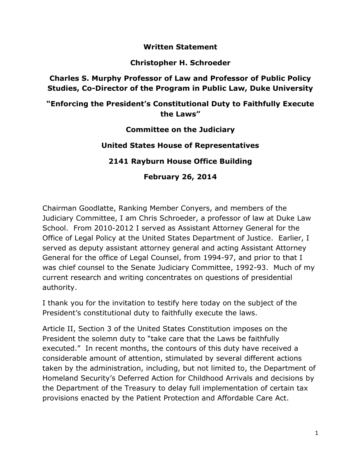## **Written Statement**

## **Christopher H. Schroeder**

**Charles S. Murphy Professor of Law and Professor of Public Policy Studies, Co-Director of the Program in Public Law, Duke University**

# **"Enforcing the President's Constitutional Duty to Faithfully Execute the Laws"**

**Committee on the Judiciary**

## **United States House of Representatives**

**2141 Rayburn House Office Building**

## **February 26, 2014**

Chairman Goodlatte, Ranking Member Conyers, and members of the Judiciary Committee, I am Chris Schroeder, a professor of law at Duke Law School. From 2010-2012 I served as Assistant Attorney General for the Office of Legal Policy at the United States Department of Justice. Earlier, I served as deputy assistant attorney general and acting Assistant Attorney General for the office of Legal Counsel, from 1994-97, and prior to that I was chief counsel to the Senate Judiciary Committee, 1992-93. Much of my current research and writing concentrates on questions of presidential authority.

I thank you for the invitation to testify here today on the subject of the President's constitutional duty to faithfully execute the laws.

Article II, Section 3 of the United States Constitution imposes on the President the solemn duty to "take care that the Laws be faithfully executed." In recent months, the contours of this duty have received a considerable amount of attention, stimulated by several different actions taken by the administration, including, but not limited to, the Department of Homeland Security's Deferred Action for Childhood Arrivals and decisions by the Department of the Treasury to delay full implementation of certain tax provisions enacted by the Patient Protection and Affordable Care Act.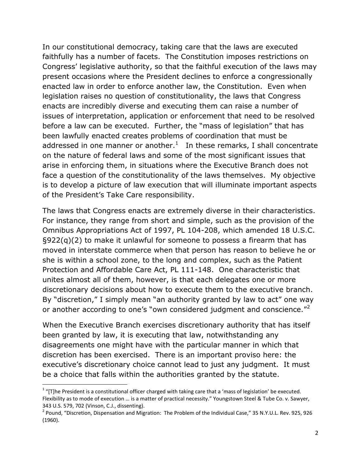In our constitutional democracy, taking care that the laws are executed faithfully has a number of facets. The Constitution imposes restrictions on Congress' legislative authority, so that the faithful execution of the laws may present occasions where the President declines to enforce a congressionally enacted law in order to enforce another law, the Constitution. Even when legislation raises no question of constitutionality, the laws that Congress enacts are incredibly diverse and executing them can raise a number of issues of interpretation, application or enforcement that need to be resolved before a law can be executed. Further, the "mass of legislation" that has been lawfully enacted creates problems of coordination that must be addressed in one manner or another. $1$  In these remarks, I shall concentrate on the nature of federal laws and some of the most significant issues that arise in enforcing them, in situations where the Executive Branch does not face a question of the constitutionality of the laws themselves. My objective is to develop a picture of law execution that will illuminate important aspects of the President's Take Care responsibility.

The laws that Congress enacts are extremely diverse in their characteristics. For instance, they range from short and simple, such as the provision of the Omnibus Appropriations Act of 1997, PL 104-208, which amended 18 U.S.C. §922(q)(2) to make it unlawful for someone to possess a firearm that has moved in interstate commerce when that person has reason to believe he or she is within a school zone, to the long and complex, such as the Patient Protection and Affordable Care Act, PL 111-148. One characteristic that unites almost all of them, however, is that each delegates one or more discretionary decisions about how to execute them to the executive branch. By "discretion," I simply mean "an authority granted by law to act" one way or another according to one's "own considered judgment and conscience."<sup>2</sup>

When the Executive Branch exercises discretionary authority that has itself been granted by law, it is executing that law, notwithstanding any disagreements one might have with the particular manner in which that discretion has been exercised. There is an important proviso here: the executive's discretionary choice cannot lead to just any judgment. It must be a choice that falls within the authorities granted by the statute.

l

 $1$  "[T]he President is a constitutional officer charged with taking care that a 'mass of legislation' be executed. Flexibility as to mode of execution … is a matter of practical necessity." Youngstown Steel & Tube Co. v. Sawyer, 343 U.S. 579, 702 (Vinson, C.J., dissenting).

<sup>&</sup>lt;sup>2</sup> Pound, "Discretion, Dispensation and Migration: The Problem of the Individual Case," 35 N.Y.U.L. Rev. 925, 926 (1960).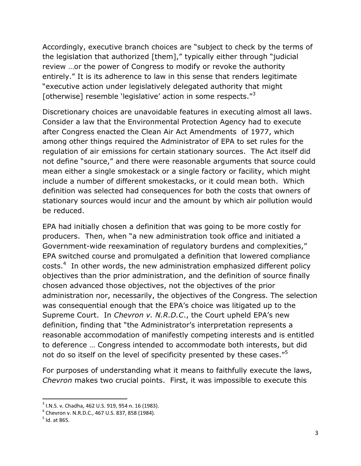Accordingly, executive branch choices are "subject to check by the terms of the legislation that authorized [them]," typically either through "judicial review …or the power of Congress to modify or revoke the authority entirely." It is its adherence to law in this sense that renders legitimate "executive action under legislatively delegated authority that might [otherwise] resemble 'legislative' action in some respects."<sup>3</sup>

Discretionary choices are unavoidable features in executing almost all laws. Consider a law that the Environmental Protection Agency had to execute after Congress enacted the Clean Air Act Amendments of 1977, which among other things required the Administrator of EPA to set rules for the regulation of air emissions for certain stationary sources. The Act itself did not define "source," and there were reasonable arguments that source could mean either a single smokestack or a single factory or facility, which might include a number of different smokestacks, or it could mean both. Which definition was selected had consequences for both the costs that owners of stationary sources would incur and the amount by which air pollution would be reduced.

EPA had initially chosen a definition that was going to be more costly for producers. Then, when "a new administration took office and initiated a Government-wide reexamination of regulatory burdens and complexities," EPA switched course and promulgated a definition that lowered compliance costs.<sup>4</sup> In other words, the new administration emphasized different policy objectives than the prior administration, and the definition of source finally chosen advanced those objectives, not the objectives of the prior administration nor, necessarily, the objectives of the Congress. The selection was consequential enough that the EPA's choice was litigated up to the Supreme Court. In *Chevron v. N.R.D.C*., the Court upheld EPA's new definition, finding that "the Administrator's interpretation represents a reasonable accommodation of manifestly competing interests and is entitled to deference … Congress intended to accommodate both interests, but did not do so itself on the level of specificity presented by these cases."<sup>5</sup>

For purposes of understanding what it means to faithfully execute the laws, *Chevron* makes two crucial points. First, it was impossible to execute this

 $\overline{\phantom{a}}$ 

<sup>&</sup>lt;sup>3</sup> I.N.S. v. Chadha, 462 U.S. 919, 954 n. 16 (1983).

<sup>4</sup> Chevron v. N.R.D.C., 467 U.S. 837, 858 (1984).

 $<sup>5</sup>$  Id. at 865.</sup>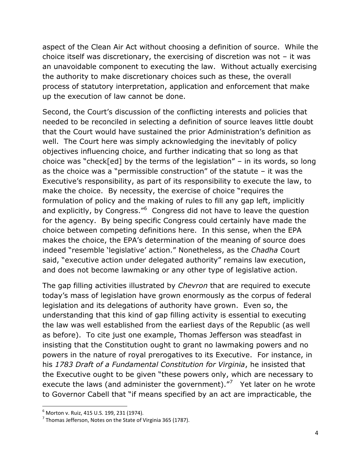aspect of the Clean Air Act without choosing a definition of source. While the choice itself was discretionary, the exercising of discretion was not – it was an unavoidable component to executing the law. Without actually exercising the authority to make discretionary choices such as these, the overall process of statutory interpretation, application and enforcement that make up the execution of law cannot be done.

Second, the Court's discussion of the conflicting interests and policies that needed to be reconciled in selecting a definition of source leaves little doubt that the Court would have sustained the prior Administration's definition as well. The Court here was simply acknowledging the inevitably of policy objectives influencing choice, and further indicating that so long as that choice was "check[ed] by the terms of the legislation" – in its words, so long as the choice was a "permissible construction" of the statute – it was the Executive's responsibility, as part of its responsibility to execute the law, to make the choice. By necessity, the exercise of choice "requires the formulation of policy and the making of rules to fill any gap left, implicitly and explicitly, by Congress."<sup>6</sup> Congress did not have to leave the question for the agency. By being specific Congress could certainly have made the choice between competing definitions here. In this sense, when the EPA makes the choice, the EPA's determination of the meaning of source does indeed "resemble 'legislative' action." Nonetheless, as the *Chadha* Court said, "executive action under delegated authority" remains law execution, and does not become lawmaking or any other type of legislative action.

The gap filling activities illustrated by *Chevron* that are required to execute today's mass of legislation have grown enormously as the corpus of federal legislation and its delegations of authority have grown. Even so, the understanding that this kind of gap filling activity is essential to executing the law was well established from the earliest days of the Republic (as well as before). To cite just one example, Thomas Jefferson was steadfast in insisting that the Constitution ought to grant no lawmaking powers and no powers in the nature of royal prerogatives to its Executive. For instance, in his *1783 Draft of a Fundamental Constitution for Virginia*, he insisted that the Executive ought to be given "these powers only, which are necessary to execute the laws (and administer the government). $\frac{n}{7}$  Yet later on he wrote to Governor Cabell that "if means specified by an act are impracticable, the

l

 $6$  Morton v. Ruiz, 415 U.S. 199, 231 (1974).

 $^7$  Thomas Jefferson, Notes on the State of Virginia 365 (1787).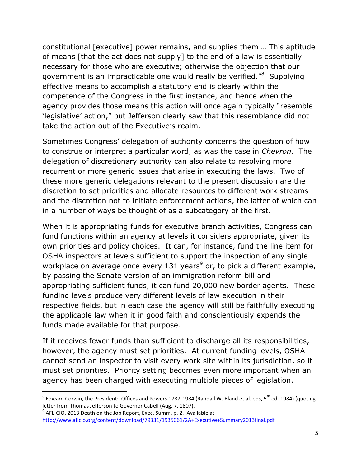constitutional [executive] power remains, and supplies them … This aptitude of means [that the act does not supply] to the end of a law is essentially necessary for those who are executive; otherwise the objection that our government is an impracticable one would really be verified."<sup>8</sup> Supplying effective means to accomplish a statutory end is clearly within the competence of the Congress in the first instance, and hence when the agency provides those means this action will once again typically "resemble 'legislative' action," but Jefferson clearly saw that this resemblance did not take the action out of the Executive's realm.

Sometimes Congress' delegation of authority concerns the question of how to construe or interpret a particular word, as was the case in *Chevron*. The delegation of discretionary authority can also relate to resolving more recurrent or more generic issues that arise in executing the laws. Two of these more generic delegations relevant to the present discussion are the discretion to set priorities and allocate resources to different work streams and the discretion not to initiate enforcement actions, the latter of which can in a number of ways be thought of as a subcategory of the first.

When it is appropriating funds for executive branch activities, Congress can fund functions within an agency at levels it considers appropriate, given its own priorities and policy choices. It can, for instance, fund the line item for OSHA inspectors at levels sufficient to support the inspection of any single workplace on average once every 131 years<sup>9</sup> or, to pick a different example, by passing the Senate version of an immigration reform bill and appropriating sufficient funds, it can fund 20,000 new border agents. These funding levels produce very different levels of law execution in their respective fields, but in each case the agency will still be faithfully executing the applicable law when it in good faith and conscientiously expends the funds made available for that purpose.

If it receives fewer funds than sufficient to discharge all its responsibilities, however, the agency must set priorities. At current funding levels, OSHA cannot send an inspector to visit every work site within its jurisdiction, so it must set priorities. Priority setting becomes even more important when an agency has been charged with executing multiple pieces of legislation.

 $\overline{a}$ 

 $^8$  Edward Corwin, the President: Offices and Powers 1787-1984 (Randall W. Bland et al. eds, 5<sup>th</sup> ed. 1984) (quoting letter from Thomas Jefferson to Governor Cabell (Aug. 7, 1807).

 $^{9}$  AFL-CIO, 2013 Death on the Job Report, Exec. Summ. p. 2. Available at <http://www.aflcio.org/content/download/79331/1935061/2A+Executive+Summary2013final.pdf>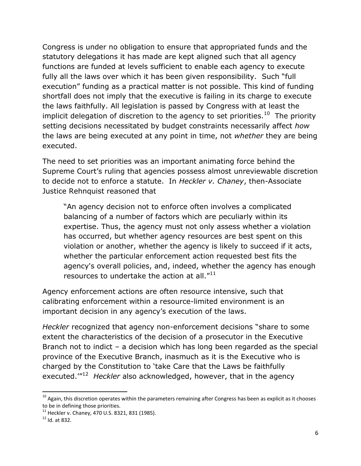Congress is under no obligation to ensure that appropriated funds and the statutory delegations it has made are kept aligned such that all agency functions are funded at levels sufficient to enable each agency to execute fully all the laws over which it has been given responsibility. Such "full execution" funding as a practical matter is not possible. This kind of funding shortfall does not imply that the executive is failing in its charge to execute the laws faithfully. All legislation is passed by Congress with at least the implicit delegation of discretion to the agency to set priorities.<sup>10</sup> The priority setting decisions necessitated by budget constraints necessarily affect *how* the laws are being executed at any point in time, not *whether* they are being executed.

The need to set priorities was an important animating force behind the Supreme Court's ruling that agencies possess almost unreviewable discretion to decide not to enforce a statute. In *Heckler v. Chaney*, then-Associate Justice Rehnquist reasoned that

"An agency decision not to enforce often involves a complicated balancing of a number of factors which are peculiarly within its expertise. Thus, the agency must not only assess whether a violation has occurred, but whether agency resources are best spent on this violation or another, whether the agency is likely to succeed if it acts, whether the particular enforcement action requested best fits the agency's overall policies, and, indeed, whether the agency has enough resources to undertake the action at all. $"^{11}$ 

Agency enforcement actions are often resource intensive, such that calibrating enforcement within a resource-limited environment is an important decision in any agency's execution of the laws.

*Heckler* recognized that agency non-enforcement decisions "share to some extent the characteristics of the decision of a prosecutor in the Executive Branch not to indict – a decision which has long been regarded as the special province of the Executive Branch, inasmuch as it is the Executive who is charged by the Constitution to 'take Care that the Laws be faithfully executed.'" <sup>12</sup> *Heckler* also acknowledged, however, that in the agency

 $\overline{a}$ 

 $10$  Again, this discretion operates within the parameters remaining after Congress has been as explicit as it chooses to be in defining those priorities.

 $11$  Heckler v. Chaney, 470 U.S. 8321, 831 (1985).

 $12$  Id. at 832.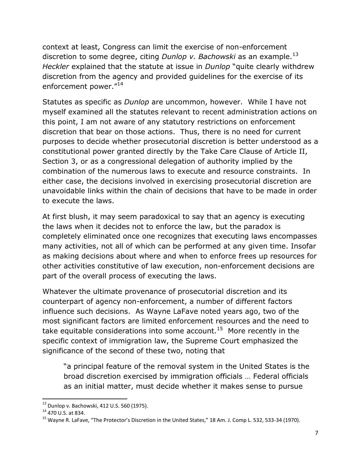context at least, Congress can limit the exercise of non-enforcement discretion to some degree, citing *Dunlop v. Bachowski* as an example.<sup>13</sup> *Heckler* explained that the statute at issue in *Dunlop* "quite clearly withdrew discretion from the agency and provided guidelines for the exercise of its enforcement power."<sup>14</sup>

Statutes as specific as *Dunlop* are uncommon, however. While I have not myself examined all the statutes relevant to recent administration actions on this point, I am not aware of any statutory restrictions on enforcement discretion that bear on those actions. Thus, there is no need for current purposes to decide whether prosecutorial discretion is better understood as a constitutional power granted directly by the Take Care Clause of Article II, Section 3, or as a congressional delegation of authority implied by the combination of the numerous laws to execute and resource constraints. In either case, the decisions involved in exercising prosecutorial discretion are unavoidable links within the chain of decisions that have to be made in order to execute the laws.

At first blush, it may seem paradoxical to say that an agency is executing the laws when it decides not to enforce the law, but the paradox is completely eliminated once one recognizes that executing laws encompasses many activities, not all of which can be performed at any given time. Insofar as making decisions about where and when to enforce frees up resources for other activities constitutive of law execution, non-enforcement decisions are part of the overall process of executing the laws.

Whatever the ultimate provenance of prosecutorial discretion and its counterpart of agency non-enforcement, a number of different factors influence such decisions. As Wayne LaFave noted years ago, two of the most significant factors are limited enforcement resources and the need to take equitable considerations into some account.<sup>15</sup> More recently in the specific context of immigration law, the Supreme Court emphasized the significance of the second of these two, noting that

"a principal feature of the removal system in the United States is the broad discretion exercised by immigration officials … Federal officials as an initial matter, must decide whether it makes sense to pursue

 $\overline{\phantom{a}}$  $^{13}$  Dunlop v. Bachowski, 412 U.S. 560 (1975).

 $14$  470 U.S. at 834.

<sup>&</sup>lt;sup>15</sup> Wayne R. LaFave, "The Protector's Discretion in the United States," 18 Am. J. Comp L. 532, 533-34 (1970).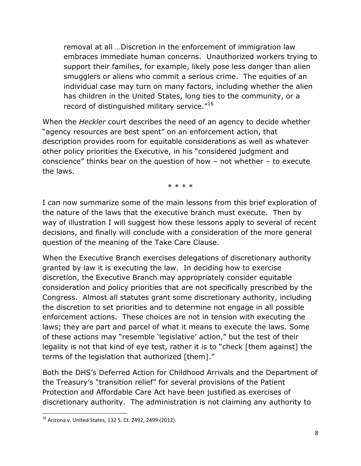removal at all …Discretion in the enforcement of immigration law embraces immediate human concerns. Unauthorized workers trying to support their families, for example, likely pose less danger than alien smugglers or aliens who commit a serious crime. The equities of an individual case may turn on many factors, including whether the alien has children in the United States, long ties to the community, or a record of distinguished military service."<sup>16</sup>

When the *Heckler* court describes the need of an agency to decide whether "agency resources are best spent" on an enforcement action, that description provides room for equitable considerations as well as whatever other policy priorities the Executive, in his "considered judgment and conscience" thinks bear on the question of how – not whether – to execute the laws.

\* \* \* \*

I can now summarize some of the main lessons from this brief exploration of the nature of the laws that the executive branch must execute. Then by way of illustration I will suggest how these lessons apply to several of recent decisions, and finally will conclude with a consideration of the more general question of the meaning of the Take Care Clause.

When the Executive Branch exercises delegations of discretionary authority granted by law it is executing the law. In deciding how to exercise discretion, the Executive Branch may appropriately consider equitable consideration and policy priorities that are not specifically prescribed by the Congress. Almost all statutes grant some discretionary authority, including the discretion to set priorities and to determine not engage in all possible enforcement actions. These choices are not in tension with executing the laws; they are part and parcel of what it means to execute the laws. Some of these actions may "resemble 'legislative' action," but the test of their legality is not that kind of eye test, rather it is to "check [them against] the terms of the legislation that authorized [them]."

Both the DHS's Deferred Action for Childhood Arrivals and the Department of the Treasury's "transition relief" for several provisions of the Patient Protection and Affordable Care Act have been justified as exercises of discretionary authority. The administration is not claiming any authority to

 $\overline{\phantom{a}}$ <sup>16</sup> Arizona v. United States, 132 S. Ct. 2492, 2499 (2012).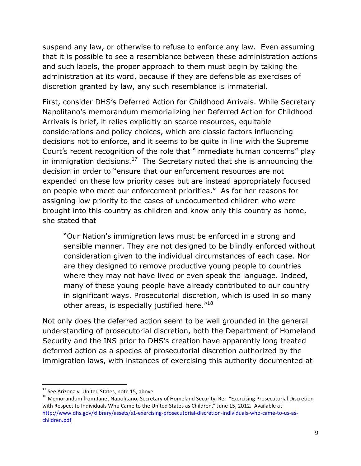suspend any law, or otherwise to refuse to enforce any law. Even assuming that it is possible to see a resemblance between these administration actions and such labels, the proper approach to them must begin by taking the administration at its word, because if they are defensible as exercises of discretion granted by law, any such resemblance is immaterial.

First, consider DHS's Deferred Action for Childhood Arrivals. While Secretary Napolitano's memorandum memorializing her Deferred Action for Childhood Arrivals is brief, it relies explicitly on scarce resources, equitable considerations and policy choices, which are classic factors influencing decisions not to enforce, and it seems to be quite in line with the Supreme Court's recent recognition of the role that "immediate human concerns" play in immigration decisions.<sup>17</sup> The Secretary noted that she is announcing the decision in order to "ensure that our enforcement resources are not expended on these low priority cases but are instead appropriately focused on people who meet our enforcement priorities." As for her reasons for assigning low priority to the cases of undocumented children who were brought into this country as children and know only this country as home, she stated that

"Our Nation's immigration laws must be enforced in a strong and sensible manner. They are not designed to be blindly enforced without consideration given to the individual circumstances of each case. Nor are they designed to remove productive young people to countries where they may not have lived or even speak the language. Indeed, many of these young people have already contributed to our country in significant ways. Prosecutorial discretion, which is used in so many other areas, is especially justified here."<sup>18</sup>

Not only does the deferred action seem to be well grounded in the general understanding of prosecutorial discretion, both the Department of Homeland Security and the INS prior to DHS's creation have apparently long treated deferred action as a species of prosecutorial discretion authorized by the immigration laws, with instances of exercising this authority documented at

l

 $17$  See Arizona v. United States, note 15, above.

<sup>&</sup>lt;sup>18</sup> Memorandum from Janet Napolitano, Secretary of Homeland Security, Re: "Exercising Prosecutorial Discretion with Respect to Individuals Who Came to the United States as Children," June 15, 2012. Available at [http://www.dhs.gov/xlibrary/assets/s1-exercising-prosecutorial-discretion-individuals-who-came-to-us-as](http://www.dhs.gov/xlibrary/assets/s1-exercising-prosecutorial-discretion-individuals-who-came-to-us-as-children.pdf)[children.pdf](http://www.dhs.gov/xlibrary/assets/s1-exercising-prosecutorial-discretion-individuals-who-came-to-us-as-children.pdf)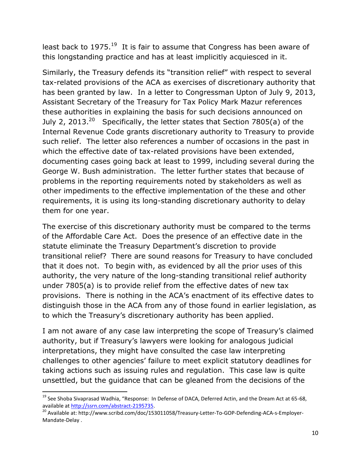least back to 1975.<sup>19</sup> It is fair to assume that Congress has been aware of this longstanding practice and has at least implicitly acquiesced in it.

Similarly, the Treasury defends its "transition relief" with respect to several tax-related provisions of the ACA as exercises of discretionary authority that has been granted by law. In a letter to Congressman Upton of July 9, 2013, Assistant Secretary of the Treasury for Tax Policy Mark Mazur references these authorities in explaining the basis for such decisions announced on July 2, 2013.<sup>20</sup> Specifically, the letter states that Section 7805(a) of the Internal Revenue Code grants discretionary authority to Treasury to provide such relief. The letter also references a number of occasions in the past in which the effective date of tax-related provisions have been extended, documenting cases going back at least to 1999, including several during the George W. Bush administration. The letter further states that because of problems in the reporting requirements noted by stakeholders as well as other impediments to the effective implementation of the these and other requirements, it is using its long-standing discretionary authority to delay them for one year.

The exercise of this discretionary authority must be compared to the terms of the Affordable Care Act. Does the presence of an effective date in the statute eliminate the Treasury Department's discretion to provide transitional relief? There are sound reasons for Treasury to have concluded that it does not. To begin with, as evidenced by all the prior uses of this authority, the very nature of the long-standing transitional relief authority under 7805(a) is to provide relief from the effective dates of new tax provisions. There is nothing in the ACA's enactment of its effective dates to distinguish those in the ACA from any of those found in earlier legislation, as to which the Treasury's discretionary authority has been applied.

I am not aware of any case law interpreting the scope of Treasury's claimed authority, but if Treasury's lawyers were looking for analogous judicial interpretations, they might have consulted the case law interpreting challenges to other agencies' failure to meet explicit statutory deadlines for taking actions such as issuing rules and regulation. This case law is quite unsettled, but the guidance that can be gleaned from the decisions of the

 $\overline{a}$ 

<sup>&</sup>lt;sup>19</sup> See Shoba Sivaprasad Wadhia, "Response: In Defense of DACA, Deferred Actin, and the Dream Act at 65-68, available a[t http://ssrn.com/abstract-2195735.](http://ssrn.com/abstract-2195735) 

<sup>&</sup>lt;sup>20</sup> Available at: http://www.scribd.com/doc/153011058/Treasury-Letter-To-GOP-Defending-ACA-s-Employer-Mandate-Delay .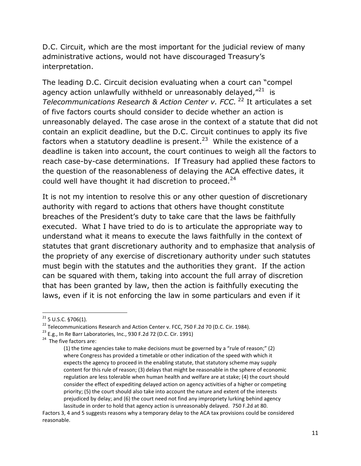D.C. Circuit, which are the most important for the judicial review of many administrative actions, would not have discouraged Treasury's interpretation.

The leading D.C. Circuit decision evaluating when a court can "compel agency action unlawfully withheld or unreasonably delayed,"<sup>21</sup> is *Telecommunications Research & Action Center v. FCC.* <sup>22</sup> It articulates a set of five factors courts should consider to decide whether an action is unreasonably delayed. The case arose in the context of a statute that did not contain an explicit deadline, but the D.C. Circuit continues to apply its five factors when a statutory deadline is present.<sup>23</sup> While the existence of a deadline is taken into account, the court continues to weigh all the factors to reach case-by-case determinations. If Treasury had applied these factors to the question of the reasonableness of delaying the ACA effective dates, it could well have thought it had discretion to proceed.<sup>24</sup>

It is not my intention to resolve this or any other question of discretionary authority with regard to actions that others have thought constitute breaches of the President's duty to take care that the laws be faithfully executed. What I have tried to do is to articulate the appropriate way to understand what it means to execute the laws faithfully in the context of statutes that grant discretionary authority and to emphasize that analysis of the propriety of any exercise of discretionary authority under such statutes must begin with the statutes and the authorities they grant. If the action can be squared with them, taking into account the full array of discretion that has been granted by law, then the action is faithfully executing the laws, even if it is not enforcing the law in some particulars and even if it

 $\overline{\phantom{a}}$ 

 $21$  5 U.S.C. §706(1).

<sup>&</sup>lt;sup>22</sup> Telecommunications Research and Action Center v. FCC, 750 F.2d 70 (D.C. Cir. 1984).

 $^{23}$  E.g., In Re Barr Laboratories, Inc., 930 F.2d 72 (D.C. Cir. 1991)

<sup>&</sup>lt;sup>24</sup> The five factors are:

<sup>(1)</sup> the time agencies take to make decisions must be governed by a "rule of reason;" (2) where Congress has provided a timetable or other indication of the speed with which it expects the agency to proceed in the enabling statute, that statutory scheme may supply content for this rule of reason; (3) delays that might be reasonable in the sphere of economic regulation are less tolerable when human health and welfare are at stake; (4) the court should consider the effect of expediting delayed action on agency activities of a higher or competing priority; (5) the court should also take into account the nature and extent of the interests prejudiced by delay; and (6) the court need not find any impropriety lurking behind agency lassitude in order to hold that agency action is unreasonably delayed. 750 F.2d at 80.

Factors 3, 4 and 5 suggests reasons why a temporary delay to the ACA tax provisions could be considered reasonable.